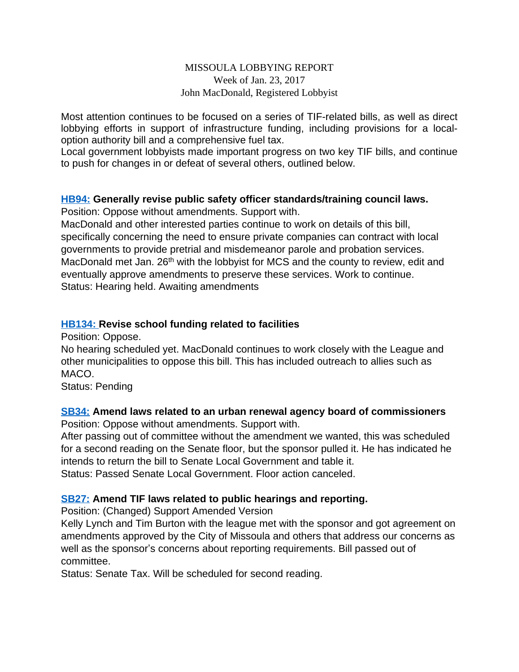#### MISSOULA LOBBYING REPORT Week of Jan. 23, 2017 John MacDonald, Registered Lobbyist

Most attention continues to be focused on a series of TIF-related bills, as well as direct lobbying efforts in support of infrastructure funding, including provisions for a localoption authority bill and a comprehensive fuel tax.

Local government lobbyists made important progress on two key TIF bills, and continue to push for changes in or defeat of several others, outlined below.

### **[HB94:](http://laws.leg.mt.gov/legprd/LAW0210W$BSIV.ActionQuery?P_BILL_NO1=94&P_BLTP_BILL_TYP_CD=HB&Z_ACTION=Find&P_SESS=20171) Generally revise public safety officer standards/training council laws.**

Position: Oppose without amendments. Support with.

MacDonald and other interested parties continue to work on details of this bill, specifically concerning the need to ensure private companies can contract with local governments to provide pretrial and misdemeanor parole and probation services. MacDonald met Jan. 26<sup>th</sup> with the lobbyist for MCS and the county to review, edit and eventually approve amendments to preserve these services. Work to continue. Status: Hearing held. Awaiting amendments

### **[HB134: R](http://laws.leg.mt.gov/legprd/LAW0210W$BSIV.ActionQuery?P_BILL_NO1=134&P_BLTP_BILL_TYP_CD=HB&Z_ACTION=Find&P_SESS=20171)evise school funding related to facilities**

Position: Oppose.

No hearing scheduled yet. MacDonald continues to work closely with the League and other municipalities to oppose this bill. This has included outreach to allies such as MACO.

Status: Pending

### **[SB34:](http://laws.leg.mt.gov/legprd/LAW0210W$BSIV.ActionQuery?P_BILL_NO1=34&P_BLTP_BILL_TYP_CD=SB&Z_ACTION=Find&P_SESS=20171) Amend laws related to an urban renewal agency board of commissioners**

Position: Oppose without amendments. Support with.

After passing out of committee without the amendment we wanted, this was scheduled for a second reading on the Senate floor, but the sponsor pulled it. He has indicated he intends to return the bill to Senate Local Government and table it.

Status: Passed Senate Local Government. Floor action canceled.

### **[SB27:](http://laws.leg.mt.gov/legprd/LAW0210W$BSIV.ActionQuery?P_BILL_NO1=27&P_BLTP_BILL_TYP_CD=SB&Z_ACTION=Find&P_SESS=20171) Amend TIF laws related to public hearings and reporting.**

Position: (Changed) Support Amended Version

Kelly Lynch and Tim Burton with the league met with the sponsor and got agreement on amendments approved by the City of Missoula and others that address our concerns as well as the sponsor's concerns about reporting requirements. Bill passed out of committee.

Status: Senate Tax. Will be scheduled for second reading.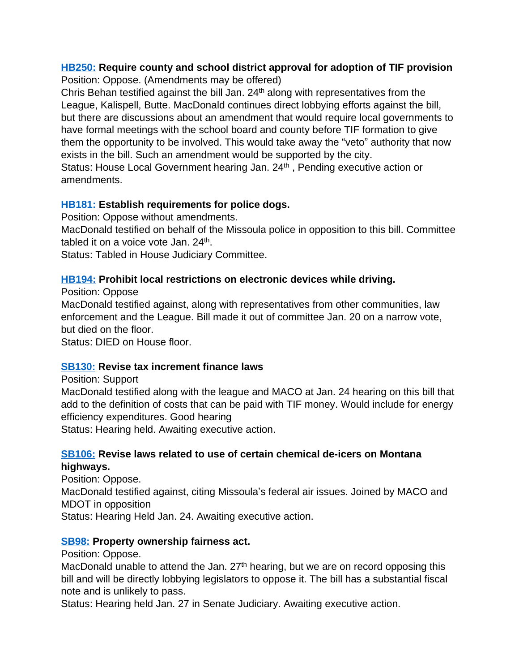# **[HB250:](http://laws.leg.mt.gov/legprd/LAW0210W$BSIV.ActionQuery?P_BILL_NO1=250&P_BLTP_BILL_TYP_CD=HB&Z_ACTION=Find&P_SESS=20171) Require county and school district approval for adoption of TIF provision**

Position: Oppose. (Amendments may be offered)

Chris Behan testified against the bill Jan. 24th along with representatives from the League, Kalispell, Butte. MacDonald continues direct lobbying efforts against the bill, but there are discussions about an amendment that would require local governments to have formal meetings with the school board and county before TIF formation to give them the opportunity to be involved. This would take away the "veto" authority that now exists in the bill. Such an amendment would be supported by the city. Status: House Local Government hearing Jan. 24<sup>th</sup>, Pending executive action or

amendments.

### **[HB181: E](http://laws.leg.mt.gov/legprd/LAW0210W$BSIV.ActionQuery?P_BILL_NO1=181&P_BLTP_BILL_TYP_CD=HB&Z_ACTION=Find&P_SESS=20171)stablish requirements for police dogs.**

Position: Oppose without amendments.

MacDonald testified on behalf of the Missoula police in opposition to this bill. Committee tabled it on a voice vote Jan. 24<sup>th</sup>.

Status: Tabled in House Judiciary Committee.

#### **[HB194:](http://laws.leg.mt.gov/legprd/LAW0210W$BSIV.ActionQuery?P_BILL_NO1=194&P_BLTP_BILL_TYP_CD=HB&Z_ACTION=Find&P_SESS=20171) Prohibit local restrictions on electronic devices while driving.**

Position: Oppose

MacDonald testified against, along with representatives from other communities, law enforcement and the League. Bill made it out of committee Jan. 20 on a narrow vote, but died on the floor.

Status: DIED on House floor.

### **[SB130:](http://laws.leg.mt.gov/legprd/LAW0210W$BSIV.ActionQuery?P_BILL_NO1=130&P_BLTP_BILL_TYP_CD=SB&Z_ACTION=Find&P_SESS=20171) Revise tax increment finance laws**

Position: Support

MacDonald testified along with the league and MACO at Jan. 24 hearing on this bill that add to the definition of costs that can be paid with TIF money. Would include for energy efficiency expenditures. Good hearing

Status: Hearing held. Awaiting executive action.

### **[SB106:](http://laws.leg.mt.gov/legprd/LAW0210W$BSIV.ActionQuery?P_BILL_NO1=106&P_BLTP_BILL_TYP_CD=SB&Z_ACTION=Find&P_SESS=20171) Revise laws related to use of certain chemical de-icers on Montana highways.**

Position: Oppose.

MacDonald testified against, citing Missoula's federal air issues. Joined by MACO and MDOT in opposition

Status: Hearing Held Jan. 24. Awaiting executive action.

### **[SB98:](http://laws.leg.mt.gov/legprd/LAW0210W$BSIV.ActionQuery?P_BILL_NO1=98&P_BLTP_BILL_TYP_CD=SB&Z_ACTION=Find&P_SESS=20171) Property ownership fairness act.**

Position: Oppose.

MacDonald unable to attend the Jan.  $27<sup>th</sup>$  hearing, but we are on record opposing this bill and will be directly lobbying legislators to oppose it. The bill has a substantial fiscal note and is unlikely to pass.

Status: Hearing held Jan. 27 in Senate Judiciary. Awaiting executive action.